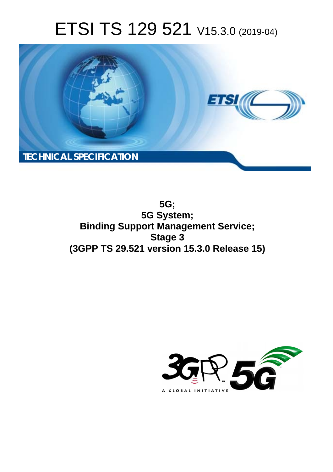# ETSI TS 129 521 V15.3.0 (2019-04)



**5G; 5G System; Binding Support Management Service; Stage 3 (3GPP TS 29.521 version 15.3.0 Release 15)** 

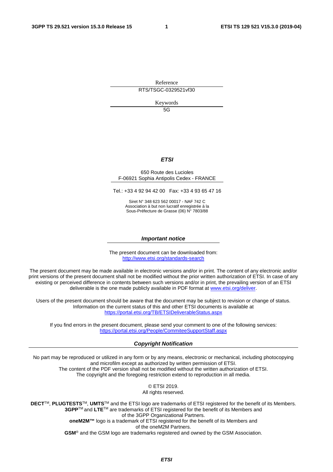Reference RTS/TSGC-0329521vf30

Keywords

5G

#### *ETSI*

#### 650 Route des Lucioles F-06921 Sophia Antipolis Cedex - FRANCE

Tel.: +33 4 92 94 42 00 Fax: +33 4 93 65 47 16

Siret N° 348 623 562 00017 - NAF 742 C Association à but non lucratif enregistrée à la Sous-Préfecture de Grasse (06) N° 7803/88

#### *Important notice*

The present document can be downloaded from: <http://www.etsi.org/standards-search>

The present document may be made available in electronic versions and/or in print. The content of any electronic and/or print versions of the present document shall not be modified without the prior written authorization of ETSI. In case of any existing or perceived difference in contents between such versions and/or in print, the prevailing version of an ETSI deliverable is the one made publicly available in PDF format at [www.etsi.org/deliver](http://www.etsi.org/deliver).

Users of the present document should be aware that the document may be subject to revision or change of status. Information on the current status of this and other ETSI documents is available at <https://portal.etsi.org/TB/ETSIDeliverableStatus.aspx>

If you find errors in the present document, please send your comment to one of the following services: <https://portal.etsi.org/People/CommiteeSupportStaff.aspx>

#### *Copyright Notification*

No part may be reproduced or utilized in any form or by any means, electronic or mechanical, including photocopying and microfilm except as authorized by written permission of ETSI. The content of the PDF version shall not be modified without the written authorization of ETSI. The copyright and the foregoing restriction extend to reproduction in all media.

> © ETSI 2019. All rights reserved.

**DECT**TM, **PLUGTESTS**TM, **UMTS**TM and the ETSI logo are trademarks of ETSI registered for the benefit of its Members. **3GPP**TM and **LTE**TM are trademarks of ETSI registered for the benefit of its Members and of the 3GPP Organizational Partners. **oneM2M™** logo is a trademark of ETSI registered for the benefit of its Members and of the oneM2M Partners. **GSM**® and the GSM logo are trademarks registered and owned by the GSM Association.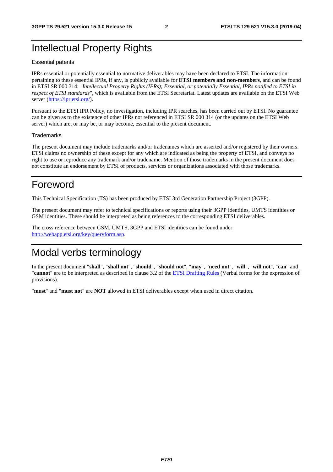# Intellectual Property Rights

#### Essential patents

IPRs essential or potentially essential to normative deliverables may have been declared to ETSI. The information pertaining to these essential IPRs, if any, is publicly available for **ETSI members and non-members**, and can be found in ETSI SR 000 314: *"Intellectual Property Rights (IPRs); Essential, or potentially Essential, IPRs notified to ETSI in respect of ETSI standards"*, which is available from the ETSI Secretariat. Latest updates are available on the ETSI Web server ([https://ipr.etsi.org/\)](https://ipr.etsi.org/).

Pursuant to the ETSI IPR Policy, no investigation, including IPR searches, has been carried out by ETSI. No guarantee can be given as to the existence of other IPRs not referenced in ETSI SR 000 314 (or the updates on the ETSI Web server) which are, or may be, or may become, essential to the present document.

#### **Trademarks**

The present document may include trademarks and/or tradenames which are asserted and/or registered by their owners. ETSI claims no ownership of these except for any which are indicated as being the property of ETSI, and conveys no right to use or reproduce any trademark and/or tradename. Mention of those trademarks in the present document does not constitute an endorsement by ETSI of products, services or organizations associated with those trademarks.

# Foreword

This Technical Specification (TS) has been produced by ETSI 3rd Generation Partnership Project (3GPP).

The present document may refer to technical specifications or reports using their 3GPP identities, UMTS identities or GSM identities. These should be interpreted as being references to the corresponding ETSI deliverables.

The cross reference between GSM, UMTS, 3GPP and ETSI identities can be found under [http://webapp.etsi.org/key/queryform.asp.](http://webapp.etsi.org/key/queryform.asp)

# Modal verbs terminology

In the present document "**shall**", "**shall not**", "**should**", "**should not**", "**may**", "**need not**", "**will**", "**will not**", "**can**" and "**cannot**" are to be interpreted as described in clause 3.2 of the [ETSI Drafting Rules](https://portal.etsi.org/Services/editHelp!/Howtostart/ETSIDraftingRules.aspx) (Verbal forms for the expression of provisions).

"**must**" and "**must not**" are **NOT** allowed in ETSI deliverables except when used in direct citation.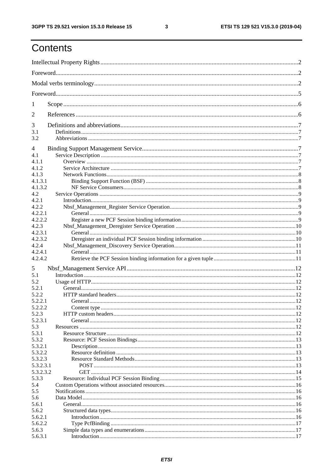$\mathbf{3}$ 

# Contents

| 1          |  |
|------------|--|
| 2          |  |
| 3          |  |
| 3.1<br>3.2 |  |
| 4          |  |
| 4.1        |  |
| 4.1.1      |  |
| 4.1.2      |  |
| 4.1.3      |  |
| 4.1.3.1    |  |
| 4.1.3.2    |  |
| 4.2        |  |
| 4.2.1      |  |
| 4.2.2      |  |
| 4.2.2.1    |  |
| 4.2.2.2    |  |
| 4.2.3      |  |
| 4.2.3.1    |  |
| 4.2.3.2    |  |
| 4.2.4      |  |
| 4.2.4.1    |  |
| 4.2.4.2    |  |
| 5          |  |
| 5.1        |  |
| 5.2        |  |
| 5.2.1      |  |
|            |  |
| 5.2.2      |  |
| 5.2.2.1    |  |
| 5.2.2.2    |  |
| 5.2.3      |  |
| 5.2.3.1    |  |
| 5.3        |  |
| 5.3.1      |  |
| 5.3.2      |  |
| 5.3.2.1    |  |
| 5.3.2.2    |  |
| 5.3.2.3    |  |
| 5.3.2.3.1  |  |
| 5.3.2.3.2  |  |
| 5.3.3      |  |
| 5.4        |  |
| 5.5        |  |
| 5.6        |  |
| 5.6.1      |  |
| 5.6.2      |  |
| 5.6.2.1    |  |
| 5.6.2.2    |  |
| 5.6.3      |  |
| 5.6.3.1    |  |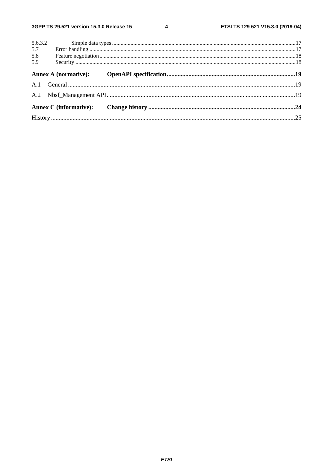$\overline{\mathbf{4}}$ 

| 5.6.3.2 |  |
|---------|--|
| 5.7     |  |
| 5.8     |  |
| 5.9     |  |
|         |  |
|         |  |
|         |  |
|         |  |
|         |  |
|         |  |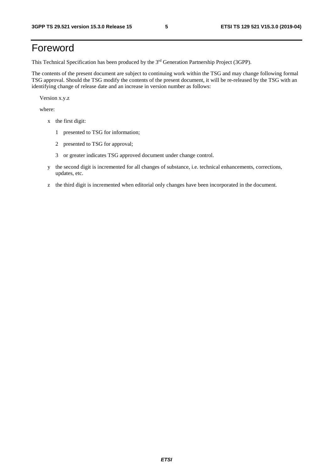# Foreword

This Technical Specification has been produced by the 3rd Generation Partnership Project (3GPP).

The contents of the present document are subject to continuing work within the TSG and may change following formal TSG approval. Should the TSG modify the contents of the present document, it will be re-released by the TSG with an identifying change of release date and an increase in version number as follows:

Version x.y.z

where:

- x the first digit:
	- 1 presented to TSG for information;
	- 2 presented to TSG for approval;
	- 3 or greater indicates TSG approved document under change control.
- y the second digit is incremented for all changes of substance, i.e. technical enhancements, corrections, updates, etc.
- z the third digit is incremented when editorial only changes have been incorporated in the document.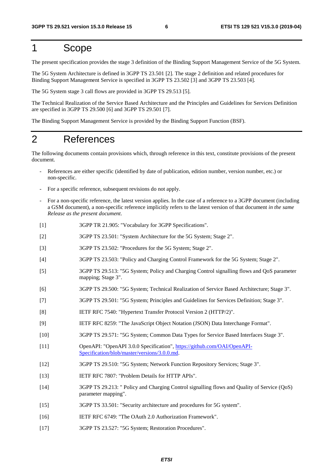## 1 Scope

The present specification provides the stage 3 definition of the Binding Support Management Service of the 5G System.

The 5G System Architecture is defined in 3GPP TS 23.501 [2]. The stage 2 definition and related procedures for Binding Support Management Service is specified in 3GPP TS 23.502 [3] and 3GPP TS 23.503 [4].

The 5G System stage 3 call flows are provided in 3GPP TS 29.513 [5].

The Technical Realization of the Service Based Architecture and the Principles and Guidelines for Services Definition are specified in 3GPP TS 29.500 [6] and 3GPP TS 29.501 [7].

The Binding Support Management Service is provided by the Binding Support Function (BSF).

### 2 References

The following documents contain provisions which, through reference in this text, constitute provisions of the present document.

- References are either specific (identified by date of publication, edition number, version number, etc.) or non-specific.
- For a specific reference, subsequent revisions do not apply.
- For a non-specific reference, the latest version applies. In the case of a reference to a 3GPP document (including a GSM document), a non-specific reference implicitly refers to the latest version of that document *in the same Release as the present document*.
- [1] 3GPP TR 21.905: "Vocabulary for 3GPP Specifications".
- [2] 3GPP TS 23.501: "System Architecture for the 5G System; Stage 2".
- [3] 3GPP TS 23.502: "Procedures for the 5G System; Stage 2".
- [4] 3GPP TS 23.503: "Policy and Charging Control Framework for the 5G System; Stage 2".
- [5] 3GPP TS 29.513: "5G System; Policy and Charging Control signalling flows and QoS parameter mapping; Stage 3".
- [6] 3GPP TS 29.500: "5G System; Technical Realization of Service Based Architecture; Stage 3".
- [7] 3GPP TS 29.501: "5G System; Principles and Guidelines for Services Definition; Stage 3".
- [8] IETF RFC 7540: "Hypertext Transfer Protocol Version 2 (HTTP/2)".
- [9] IETF RFC 8259: "The JavaScript Object Notation (JSON) Data Interchange Format".
- [10] 3GPP TS 29.571: "5G System; Common Data Types for Service Based Interfaces Stage 3".
- [11] OpenAPI: "OpenAPI 3.0.0 Specification", [https://github.com/OAI/OpenAPI](https://github.com/OAI/OpenAPI-Specification/blob/master/versions/3.0.0.md)-[Specification/blob/master/versions/3.0.0.md](https://github.com/OAI/OpenAPI-Specification/blob/master/versions/3.0.0.md).
- [12] 3GPP TS 29.510: "5G System; Network Function Repository Services; Stage 3".
- [13] IETF RFC 7807: "Problem Details for HTTP APIs".
- [14] 3GPP TS 29.213: " Policy and Charging Control signalling flows and Quality of Service (QoS) parameter mapping".
- [15] 3GPP TS 33.501: "Security architecture and procedures for 5G system".
- [16] IETF RFC 6749: "The OAuth 2.0 Authorization Framework".
- [17] 3GPP TS 23.527: "5G System; Restoration Procedures".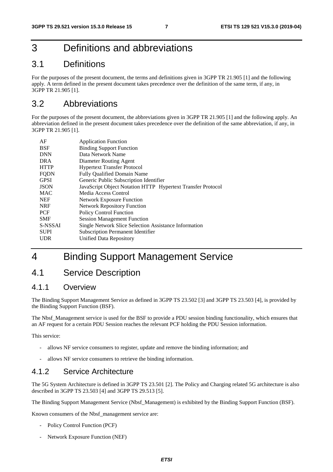# 3 Definitions and abbreviations

### 3.1 Definitions

For the purposes of the present document, the terms and definitions given in 3GPP TR 21.905 [1] and the following apply. A term defined in the present document takes precedence over the definition of the same term, if any, in 3GPP TR 21.905 [1].

### 3.2 Abbreviations

For the purposes of the present document, the abbreviations given in 3GPP TR 21.905 [1] and the following apply. An abbreviation defined in the present document takes precedence over the definition of the same abbreviation, if any, in 3GPP TR 21.905 [1].

| AF<br><b>BSF</b> | <b>Application Function</b><br><b>Binding Support Function</b> |
|------------------|----------------------------------------------------------------|
| <b>DNN</b>       | Data Network Name                                              |
| <b>DRA</b>       | Diameter Routing Agent                                         |
| <b>HTTP</b>      | <b>Hypertext Transfer Protocol</b>                             |
| <b>FQDN</b>      | <b>Fully Qualified Domain Name</b>                             |
| <b>GPSI</b>      | Generic Public Subscription Identifier                         |
| <b>JSON</b>      | JavaScript Object Notation HTTP Hypertext Transfer Protocol    |
| <b>MAC</b>       | Media Access Control                                           |
| <b>NEF</b>       | <b>Network Exposure Function</b>                               |
| <b>NRF</b>       | <b>Network Repository Function</b>                             |
| <b>PCF</b>       | <b>Policy Control Function</b>                                 |
| <b>SMF</b>       | <b>Session Management Function</b>                             |
| S-NSSAI          | Single Network Slice Selection Assistance Information          |
| <b>SUPI</b>      | <b>Subscription Permanent Identifier</b>                       |
| <b>UDR</b>       | Unified Data Repository                                        |
|                  |                                                                |

# 4 Binding Support Management Service

### 4.1 Service Description

### 4.1.1 Overview

The Binding Support Management Service as defined in 3GPP TS 23.502 [3] and 3GPP TS 23.503 [4], is provided by the Binding Support Function (BSF).

The Nbsf Management service is used for the BSF to provide a PDU session binding functionality, which ensures that an AF request for a certain PDU Session reaches the relevant PCF holding the PDU Session information.

This service:

- allows NF service consumers to register, update and remove the binding information; and
- allows NF service consumers to retrieve the binding information.

### 4.1.2 Service Architecture

The 5G System Architecture is defined in 3GPP TS 23.501 [2]. The Policy and Charging related 5G architecture is also described in 3GPP TS 23.503 [4] and 3GPP TS 29.513 [5].

The Binding Support Management Service (Nbsf\_Management) is exhibited by the Binding Support Function (BSF).

Known consumers of the Nbsf\_management service are:

- Policy Control Function (PCF)
- Network Exposure Function (NEF)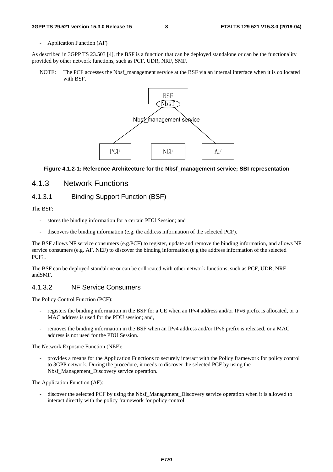- Application Function (AF)

As described in 3GPP TS 23.503 [4], the BSF is a function that can be deployed standalone or can be the functionality provided by other network functions, such as PCF, UDR, NRF, SMF.

NOTE: The PCF accesses the Nbsf management service at the BSF via an internal interface when it is collocated with BSF.



#### **Figure 4.1.2-1: Reference Architecture for the Nbsf\_management service; SBI representation**

### 4.1.3 Network Functions

#### 4.1.3.1 Binding Support Function (BSF)

The BSF:

- stores the binding information for a certain PDU Session; and
- discovers the binding information (e.g. the address information of the selected PCF).

The BSF allows NF service consumers (e.g.PCF) to register, update and remove the binding information, and allows NF service consumers (e.g. AF, NEF) to discover the binding information (e.g the address information of the selected PCF).

The BSF can be deployed standalone or can be collocated with other network functions, such as PCF, UDR, NRF andSMF.

#### 4.1.3.2 NF Service Consumers

The Policy Control Function (PCF):

- registers the binding information in the BSF for a UE when an IPv4 address and/or IPv6 prefix is allocated, or a MAC address is used for the PDU session; and,
- removes the binding information in the BSF when an IPv4 address and/or IPv6 prefix is released, or a MAC address is not used for the PDU Session.

The Network Exposure Function (NEF):

- provides a means for the Application Functions to securely interact with the Policy framework for policy control to 3GPP network. During the procedure, it needs to discover the selected PCF by using the Nbsf Management Discovery service operation.

The Application Function (AF):

- discover the selected PCF by using the Nbsf\_Management\_Discovery service operation when it is allowed to interact directly with the policy framework for policy control.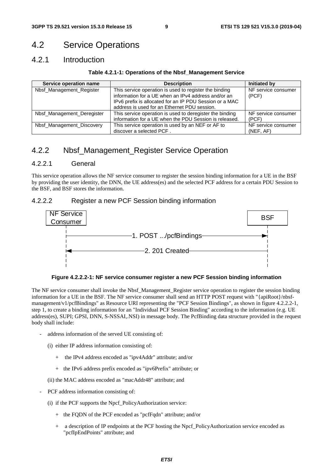### 4.2 Service Operations

### 4.2.1 Introduction

#### **Table 4.2.1-1: Operations of the Nbsf\_Management Service**

| Service operation name     | <b>Description</b>                                                                                                                                                                                                       | Initiated by                     |
|----------------------------|--------------------------------------------------------------------------------------------------------------------------------------------------------------------------------------------------------------------------|----------------------------------|
| Nbsf_Management_Register   | This service operation is used to register the binding<br>information for a UE when an IPv4 address and/or an<br>IPv6 prefix is allocated for an IP PDU Session or a MAC<br>address is used for an Ethernet PDU session. | NF service consumer<br>(PCF)     |
| Nbsf_Management_Deregister | This service operation is used to deregister the binding<br>information for a UE when the PDU Session is released.                                                                                                       | NF service consumer<br>(PCF)     |
| Nbsf_Management_Discovery  | This service operation is used by an NEF or AF to<br>discover a selected PCF.                                                                                                                                            | NF service consumer<br>(NEF, AF) |

### 4.2.2 Nbsf\_Management\_Register Service Operation

#### 4.2.2.1 General

This service operation allows the NF service consumer to register the session binding information for a UE in the BSF by providing the user identity, the DNN, the UE address(es) and the selected PCF address for a certain PDU Session to the BSF, and BSF stores the information.

#### 4.2.2.2 Register a new PCF Session binding information



**Figure 4.2.2.2-1: NF service consumer register a new PCF Session binding information** 

The NF service consumer shall invoke the Nbsf\_Management\_Register service operation to register the session binding information for a UE in the BSF. The NF service consumer shall send an HTTP POST request with "{apiRoot}/nbsfmanagement/v1/pcfBindings" as Resource URI representing the "PCF Session Bindings", as shown in figure 4.2.2.2-1, step 1, to create a binding information for an "Individual PCF Session Binding" according to the information (e.g. UE address(es), SUPI; GPSI, DNN, S-NSSAI,.NSI) in message body. The PcfBinding data structure provided in the request body shall include:

- address information of the served UE consisting of:
	- (i) either IP address information consisting of:
		- + the IPv4 address encoded as "ipv4Addr" attribute; and/or
		- + the IPv6 address prefix encoded as "ipv6Prefix" attribute; or
	- (ii) the MAC address encoded as "macAddr48" attribute; and
- PCF address information consisting of:
	- (i) if the PCF supports the Npcf\_PolicyAuthorization service:
		- + the FQDN of the PCF encoded as "pcfFqdn" attribute; and/or
		- + a description of IP endpoints at the PCF hosting the Npcf\_PolicyAuthorization service encoded as "pcfIpEndPoints" attribute; and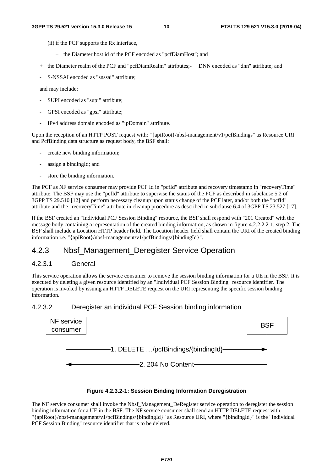- (ii) if the PCF supports the Rx interface,
	- + the Diameter host id of the PCF encoded as "pcfDiamHost"; and
- + the Diameter realm of the PCF and "pcfDiamRealm" attributes;- DNN encoded as "dnn" attribute; and
- S-NSSAI encoded as "snssai" attribute;

and may include:

- SUPI encoded as "supi" attribute;
- GPSI encoded as "gpsi" attribute;
- IPv4 address domain encoded as "ipDomain" attribute.

Upon the reception of an HTTP POST request with: "{apiRoot}/nbsf-management/v1/pcfBindings" as Resource URI and PcfBinding data structure as request body, the BSF shall:

- create new binding information;
- assign a bindingId; and
- store the binding information.

The PCF as NF service consumer may provide PCF Id in "pcfId" attribute and recovery timestamp in "recoveryTime" attribute. The BSF may use the "pcfId" attribute to supervise the status of the PCF as described in subclause 5.2 of 3GPP TS 29.510 [12] and perform necessary cleanup upon status change of the PCF later, and/or both the "pcfId" attribute and the "recoveryTime" attribute in cleanup procedure as described in subclause 6.4 of 3GPP TS 23.527 [17].

If the BSF created an "Individual PCF Session Binding" resource, the BSF shall respond with "201 Created" with the message body containing a representation of the created binding information, as shown in figure 4.2.2.2.2-1, step 2. The BSF shall include a Location HTTP header field. The Location header field shall contain the URI of the created binding information i.e. "{apiRoot}/nbsf-management/v1/pcfBindings/{bindingId}".

### 4.2.3 Nbsf\_Management\_Deregister Service Operation

#### 4.2.3.1 General

This service operation allows the service consumer to remove the session binding information for a UE in the BSF. It is executed by deleting a given resource identified by an "Individual PCF Session Binding" resource identifier. The operation is invoked by issuing an HTTP DELETE request on the URI representing the specific session binding information.

#### 4.2.3.2 Deregister an individual PCF Session binding information



#### **Figure 4.2.3.2-1: Session Binding Information Deregistration**

The NF service consumer shall invoke the Nbsf\_Management\_DeRegister service operation to deregister the session binding information for a UE in the BSF. The NF service consumer shall send an HTTP DELETE request with "{apiRoot}/nbsf-management/v1/pcfBindings/{bindingId}" as Resource URI, where "{bindingId}" is the "Individual PCF Session Binding" resource identifier that is to be deleted.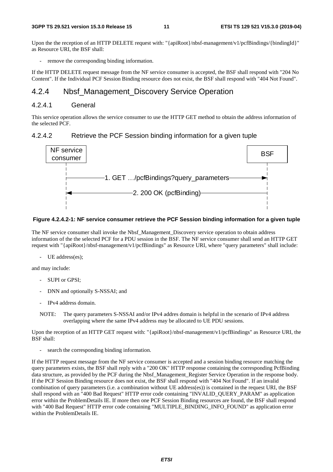Upon the the reception of an HTTP DELETE request with: "{apiRoot}/nbsf-management/v1/pcfBindings/{bindingId}" as Resource URI, the BSF shall:

remove the corresponding binding information.

If the HTTP DELETE request message from the NF service consumer is accepted, the BSF shall respond with "204 No Content". If the Individual PCF Session Binding resource does not exist, the BSF shall respond with "404 Not Found".

### 4.2.4 Nbsf\_Management\_Discovery Service Operation

#### 4.2.4.1 General

This service operation allows the service consumer to use the HTTP GET method to obtain the address information of the selected PCF.

#### 4.2.4.2 Retrieve the PCF Session binding information for a given tuple



#### **Figure 4.2.4.2-1: NF service consumer retrieve the PCF Session binding information for a given tuple**

The NF service consumer shall invoke the Nbsf\_Management\_Discovery service operation to obtain address information of the the selected PCF for a PDU session in the BSF. The NF service consumer shall send an HTTP GET request with "{apiRoot}/nbsf-management/v1/pcfBindings" as Resource URI, where "query parameters" shall include:

UE address(es);

and may include:

- SUPI or GPSI:
- DNN and optionally S-NSSAI; and
- IPv4 address domain.
- NOTE: The query parameters S-NSSAI and/or IPv4 addres domain is helpful in the scenario of IPv4 address overlapping where the same IPv4 address may be allocated to UE PDU sessions.

Upon the reception of an HTTP GET request with: "{apiRoot}/nbsf-management/v1/pcfBindings" as Resource URI, the BSF shall:

search the corresponding binding information.

If the HTTP request message from the NF service consumer is accepted and a session binding resource matching the query parameters exists, the BSF shall reply with a "200 OK" HTTP response containing the corresponding PcfBinding data structure, as provided by the PCF during the Nbsf\_Management\_Register Service Operation in the response body. If the PCF Session Binding resource does not exist, the BSF shall respond with "404 Not Found". If an invalid combination of query parameters (i.e. a combination without UE address(es)) is contained in the request URI, the BSF shall respond with an "400 Bad Request" HTTP error code containing "INVALID\_QUERY\_PARAM" as application error within the ProblemDetails IE. If more then one PCF Session Binding resources are found, the BSF shall respond with "400 Bad Request" HTTP error code containing "MULTIPLE\_BINDING\_INFO\_FOUND" as application error within the ProblemDetails IE.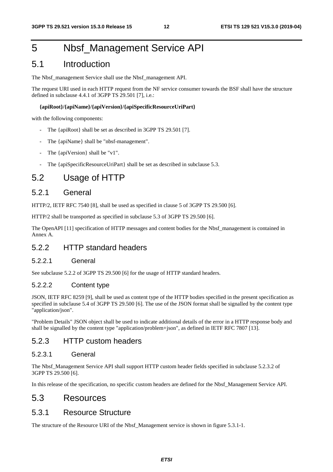# 5 Nbsf\_Management Service API

### 5.1 Introduction

The Nbsf\_management Service shall use the Nbsf\_management API.

The request URI used in each HTTP request from the NF service consumer towards the BSF shall have the structure defined in subclause 4.4.1 of 3GPP TS 29.501 [7], i.e.:

#### **{apiRoot}/{apiName}/{apiVersion}/{apiSpecificResourceUriPart}**

with the following components:

- The {apiRoot} shall be set as described in 3GPP TS 29.501 [7].
- The {apiName} shall be "nbsf-management".
- The {apiVersion} shall be "v1".
- The {apiSpecificResourceUriPart} shall be set as described in subclause 5.3.

### 5.2 Usage of HTTP

#### 5.2.1 General

HTTP/2, IETF RFC 7540 [8], shall be used as specified in clause 5 of 3GPP TS 29.500 [6].

HTTP/2 shall be transported as specified in subclause 5.3 of 3GPP TS 29.500 [6].

The OpenAPI [11] specification of HTTP messages and content bodies for the Nbsf\_management is contained in Annex A.

### 5.2.2 HTTP standard headers

#### 5.2.2.1 General

See subclause 5.2.2 of 3GPP TS 29.500 [6] for the usage of HTTP standard headers.

#### 5.2.2.2 Content type

JSON, IETF RFC 8259 [9], shall be used as content type of the HTTP bodies specified in the present specification as specified in subclause 5.4 of 3GPP TS 29.500 [6]. The use of the JSON format shall be signalled by the content type "application/json".

"Problem Details" JSON object shall be used to indicate additional details of the error in a HTTP response body and shall be signalled by the content type "application/problem+json", as defined in IETF RFC 7807 [13].

### 5.2.3 HTTP custom headers

#### 5.2.3.1 General

The Nbsf\_Management Service API shall support HTTP custom header fields specified in subclause 5.2.3.2 of 3GPP TS 29.500 [6].

In this release of the specification, no specific custom headers are defined for the Nbsf\_Management Service API.

### 5.3 Resources

#### 5.3.1 Resource Structure

The structure of the Resource URI of the Nbsf\_Management service is shown in figure 5.3.1-1.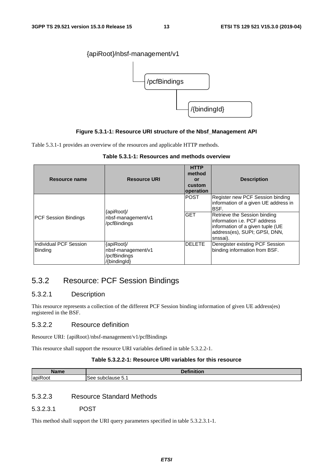

#### **Figure 5.3.1-1: Resource URI structure of the Nbsf\_Management API**

Table 5.3.1-1 provides an overview of the resources and applicable HTTP methods.

|  | Table 5.3.1-1: Resources and methods overview |
|--|-----------------------------------------------|
|--|-----------------------------------------------|

| Resource name                            | <b>Resource URI</b>                | <b>HTTP</b><br>method<br>or<br>custom<br>operation | <b>Description</b>                                                                                                                             |
|------------------------------------------|------------------------------------|----------------------------------------------------|------------------------------------------------------------------------------------------------------------------------------------------------|
|                                          | {apiRoot}/                         | <b>POST</b>                                        | Register new PCF Session binding<br>information of a given UE address in<br>BSF.                                                               |
| IPCF Session Bindings                    | nbsf-management/v1<br>/pcfBindings | <b>GET</b>                                         | Retrieve the Session binding<br>linformation i.e. PCF address<br>information of a given tuple (UE<br>address(es), SUPI; GPSI, DNN,<br>snssai). |
| Individual PCF Session<br><b>Binding</b> | {apiRoot}/<br>nbsf-management/v1   | <b>DELETE</b>                                      | Deregister existing PCF Session<br>binding information from BSF.                                                                               |
|                                          | /pcfBindings<br>{bindingId}        |                                                    |                                                                                                                                                |

### 5.3.2 Resource: PCF Session Bindings

#### 5.3.2.1 Description

This resource represents a collection of the different PCF Session binding information of given UE address(es) registered in the BSF.

#### 5.3.2.2 Resource definition

Resource URI: {apiRoot}/nbsf-management/v1/pcfBindings

This resource shall support the resource URI variables defined in table 5.3.2.2-1.

#### **Table 5.3.2.2-1: Resource URI variables for this resource**

| – Nom‴<br>лашт | <b>Contract of Contract Contract of the Contract of Contract of Contract of Contract of Contract of Contract of Contract of Contract of Contract of Contract of Contract of Contract of Contract of Contract of Contract of Cont</b> |
|----------------|--------------------------------------------------------------------------------------------------------------------------------------------------------------------------------------------------------------------------------------|
| .              | subclause 5.1                                                                                                                                                                                                                        |
| lapik          | $\sim$                                                                                                                                                                                                                               |
| $\sim$         | See                                                                                                                                                                                                                                  |
| OOT            | $\sim$ $\sim$                                                                                                                                                                                                                        |

#### 5.3.2.3 Resource Standard Methods

#### 5.3.2.3.1 POST

This method shall support the URI query parameters specified in table 5.3.2.3.1-1.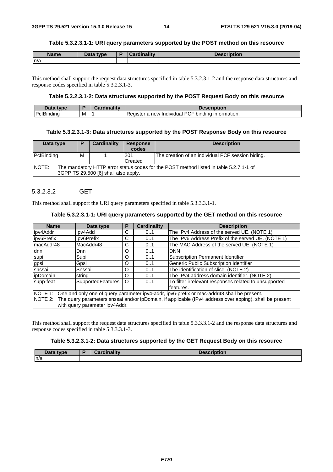#### **Table 5.3.2.3.1-1: URI query parameters supported by the POST method on this resource**

| <b>Name</b> | <b>Data type</b> | a teredination design | <b><i><u>Accorintion</u></i></b><br>онон |
|-------------|------------------|-----------------------|------------------------------------------|
| n/a         |                  |                       |                                          |

This method shall support the request data structures specified in table 5.3.2.3.1-2 and the response data structures and response codes specified in table 5.3.2.3.1-3.

#### **Table 5.3.2.3.1-2: Data structures supported by the POST Request Body on this resource**

| Data<br>type.                   |   | <br><br>and the state of the state of the<br>$-1.1.1$ | Description                                                                 |
|---------------------------------|---|-------------------------------------------------------|-----------------------------------------------------------------------------|
| <b>IPcfBi</b><br>ıdır<br>. וורי | м |                                                       | <br>Register<br>יש<br>bindina<br>a new<br>Individual<br>-<br>nation.<br>⊣ ب |

#### **Table 5.3.2.3.1-3: Data structures supported by the POST Response Body on this resource**

| Data type                                                                                                                               | Þ | Cardinality | <b>Response</b><br>codes | <b>Description</b>                                |
|-----------------------------------------------------------------------------------------------------------------------------------------|---|-------------|--------------------------|---------------------------------------------------|
| <b>IPcfBinding</b>                                                                                                                      | м |             | 1201<br>Created          | The creation of an individual PCF session biding. |
| NOTE:<br>The mandatory HTTP error status codes for the POST method listed in table 5.2.7.1-1 of<br>3GPP TS 29.500 [6] shall also apply. |   |             |                          |                                                   |

#### 5.3.2.3.2 GET

This method shall support the URI query parameters specified in table 5.3.3.3.1-1.

#### **Table 5.3.2.3.1-1: URI query parameters supported by the GET method on this resource**

| <b>Name</b>                                                                                                                                                                                                                                             | Data type         | Р        | <b>Cardinality</b> | <b>Description</b>                                                  |  |  |
|---------------------------------------------------------------------------------------------------------------------------------------------------------------------------------------------------------------------------------------------------------|-------------------|----------|--------------------|---------------------------------------------------------------------|--|--|
| ipv4Addr                                                                                                                                                                                                                                                | lpv4Add           | С        | 01                 | The IPv4 Address of the served UE. (NOTE 1)                         |  |  |
| ipv6Prefix                                                                                                                                                                                                                                              | lpv6Prefix        | С        | 0.1                | The IPv6 Address Prefix of the served UE. (NOTE 1)                  |  |  |
| ImacAddr48                                                                                                                                                                                                                                              | MacAddr48         | С        | 0.1                | The MAC Address of the served UE. (NOTE 1)                          |  |  |
| ldnn                                                                                                                                                                                                                                                    | Dnn               | O        | 0.1                | <b>DNN</b>                                                          |  |  |
| supi                                                                                                                                                                                                                                                    | Supi              | O        | 0.1                | Subscription Permanent Identifier                                   |  |  |
| gpsi                                                                                                                                                                                                                                                    | Gpsi              | O        | 0.1                | Generic Public Subscription Identifier                              |  |  |
| Isnssai                                                                                                                                                                                                                                                 | Snssai            | $\Omega$ | 0.1                | The identification of slice. (NOTE 2)                               |  |  |
| <i>ipDomain</i>                                                                                                                                                                                                                                         | string            | $\Omega$ | 0.1                | The IPv4 address domain identifier. (NOTE 2)                        |  |  |
| supp-feat                                                                                                                                                                                                                                               | SupportedFeatures | $\circ$  | 0.1                | To filter irrelevant responses related to unsupported<br>lfeatures. |  |  |
| NOTE 1: One and only one of query parameter ipv4-addr, ipv6-prefix or mac-addr48 shall be present.<br>NOTE 2: The query parameters snssai and/or ipDomain, if applicable (IPv4 address overlapping), shall be present<br>with query parameter ipv4Addr. |                   |          |                    |                                                                     |  |  |

This method shall support the request data structures specified in table 5.3.3.3.1-2 and the response data structures and response codes specified in table 5.3.3.3.1-3.

#### **Table 5.3.2.3.1-2: Data structures supported by the GET Request Body on this resource**

| Data type | Cordinality<br>Cardinality | <b>Description</b> |
|-----------|----------------------------|--------------------|
| n/a       |                            |                    |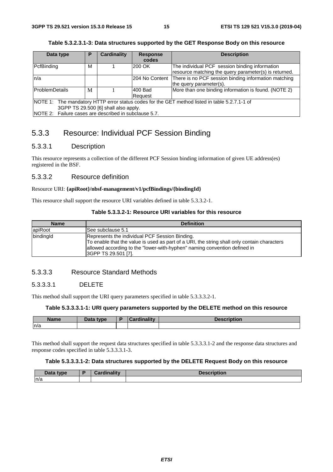#### **Table 5.3.2.3.1-3: Data structures supported by the GET Response Body on this resource**

| Data type                            | Р                                                     | <b>Cardinality</b> | <b>Response</b><br>codes | <b>Description</b>                                                                            |  |
|--------------------------------------|-------------------------------------------------------|--------------------|--------------------------|-----------------------------------------------------------------------------------------------|--|
| PcfBinding                           | M                                                     |                    | 200 OK                   | The individual PCF session binding information                                                |  |
|                                      |                                                       |                    |                          | resource matching the query parameter(s) is returned.                                         |  |
| ln/a                                 |                                                       |                    | 204 No Content           | There is no PCF session binding information matching                                          |  |
|                                      |                                                       |                    |                          | the query parameter(s).                                                                       |  |
| lProblemDetails                      | М                                                     |                    | 1400 Bad                 | More than one binding information is found. (NOTE 2)                                          |  |
|                                      |                                                       |                    | Reauest                  |                                                                                               |  |
|                                      |                                                       |                    |                          | NOTE 1: The mandatory HTTP error status codes for the GET method listed in table 5.2.7.1-1 of |  |
| 3GPP TS 29.500 [6] shall also apply. |                                                       |                    |                          |                                                                                               |  |
|                                      | NOTE 2: Failure cases are described in subclause 5.7. |                    |                          |                                                                                               |  |

### 5.3.3 Resource: Individual PCF Session Binding

#### 5.3.3.1 Description

This resource represents a collection of the different PCF Session binding information of given UE address(es) registered in the BSF.

#### 5.3.3.2 Resource definition

#### Resource URI: **{apiRoot}/nbsf-management/v1/pcfBindings/{bindingId}**

This resource shall support the resource URI variables defined in table 5.3.3.2-1.

#### **Table 5.3.3.2-1: Resource URI variables for this resource**

| <b>Name</b> | <b>Definition</b>                                                                                                                                                                                                                                 |
|-------------|---------------------------------------------------------------------------------------------------------------------------------------------------------------------------------------------------------------------------------------------------|
| apiRoot     | See subclause 5.1                                                                                                                                                                                                                                 |
| bindingId   | Represents the individual PCF Session Binding.<br>To enable that the value is used as part of a URI, the string shall only contain characters<br>allowed according to the "lower-with-hyphen" naming convention defined in<br>3GPP TS 29.501 [7]. |

#### 5.3.3.3 Resource Standard Methods

#### 5.3.3.3.1 DELETE

This method shall support the URI query parameters specified in table 5.3.3.3.2-1.

#### **Table 5.3.3.3.1-1: URI query parameters supported by the DELETE method on this resource**

| <b>Name</b> | Data type | <b>Timelitie</b><br>лани | $-1$ $-1$ $-1$<br>TIULION |
|-------------|-----------|--------------------------|---------------------------|
| n/a         |           |                          |                           |

This method shall support the request data structures specified in table 5.3.3.3.1-2 and the response data structures and response codes specified in table 5.3.3.3.1-3.

#### **Table 5.3.3.3.1-2: Data structures supported by the DELETE Request Body on this resource**

| <b>Pata type</b> | Cardinality<br>uulidiit. | <b>Description</b><br>"Cridtion. |
|------------------|--------------------------|----------------------------------|
| ln/a             |                          |                                  |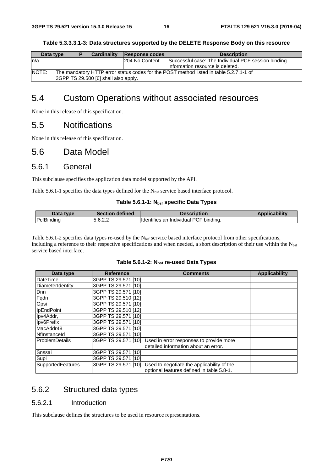**Table 5.3.3.3.1-3: Data structures supported by the DELETE Response Body on this resource** 

| Data type                                                                                       |  | <b>Cardinality</b> | Response codes | <b>Description</b>                                  |
|-------------------------------------------------------------------------------------------------|--|--------------------|----------------|-----------------------------------------------------|
| In/a                                                                                            |  |                    | 204 No Content | Successful case: The Individual PCF session binding |
|                                                                                                 |  |                    |                | linformation resource is deleted.                   |
| NOTE:<br>The mandatory HTTP error status codes for the POST method listed in table 5.2.7.1-1 of |  |                    |                |                                                     |
| 3GPP TS 29.500 [6] shall also apply.                                                            |  |                    |                |                                                     |

# 5.4 Custom Operations without associated resources

None in this release of this specification.

### 5.5 Notifications

None in this release of this specification.

### 5.6 Data Model

### 5.6.1 General

This subclause specifies the application data model supported by the API.

Table 5.6.1-1 specifies the data types defined for the N<sub>bsf</sub> service based interface protocol.

#### Table 5.6.1-1: N<sub>bsf</sub> specific Data Types

| Data type          | <b>Section defined</b> | <b>Description</b>                    | <b>Applicability</b> |
|--------------------|------------------------|---------------------------------------|----------------------|
| <b>IPcfBinding</b> | 5.6.2.2                | Identifies an Individual PCF binding. |                      |

Table 5.6.1-2 specifies data types re-used by the  $N_{\text{bsf}}$  service based interface protocol from other specifications, including a reference to their respective specifications and when needed, a short description of their use within the N<sub>bsf</sub> service based interface.

| Data type                | <b>Reference</b>    | <b>Comments</b>                            | <b>Applicability</b> |
|--------------------------|---------------------|--------------------------------------------|----------------------|
| DateTime                 | 3GPP TS 29.571 [10] |                                            |                      |
| <b>IDiameterIdentitv</b> | 3GPP TS 29.571 [10] |                                            |                      |
| <b>D</b> nn              | 3GPP TS 29.571 [10] |                                            |                      |
| Fqdn                     | 3GPP TS 29.510 [12] |                                            |                      |
| Gpsi                     | 3GPP TS 29.571 [10] |                                            |                      |
| <b>IpEndPoint</b>        | 3GPP TS 29.510 [12] |                                            |                      |
| Ipv4Addr,                | 3GPP TS 29.571 [10] |                                            |                      |
| Ipv6Prefix               | 3GPP TS 29.571 [10] |                                            |                      |
| MacAddr48                | 3GPP TS 29.571 [10] |                                            |                      |
| Nflnstanceld             | 3GPP TS 29.571 [10] |                                            |                      |
| <b>ProblemDetails</b>    | 3GPP TS 29.571 [10] | Used in error responses to provide more    |                      |
|                          |                     | detailed information about an error.       |                      |
| Snssai                   | 3GPP TS 29.571 [10] |                                            |                      |
| Supi                     | 3GPP TS 29.571 [10] |                                            |                      |
| <b>SupportedFeatures</b> | 3GPP TS 29.571 [10] | Used to negotiate the applicability of the |                      |
|                          |                     | optional features defined in table 5.8-1.  |                      |

### 5.6.2 Structured data types

#### 5.6.2.1 Introduction

This subclause defines the structures to be used in resource representations.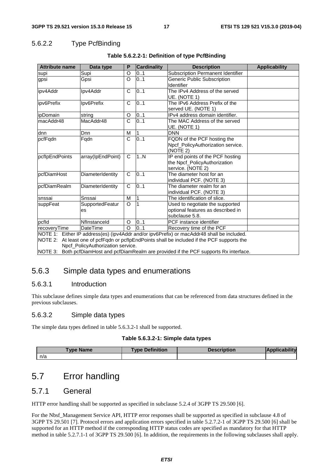### 5.6.2.2 Type PcfBinding

| <b>Attribute name</b>                                                                                                                                                                                                                                                                                                      | Data type             |                       | <b>Cardinality</b> | <b>Description</b>                                                                     | <b>Applicability</b> |
|----------------------------------------------------------------------------------------------------------------------------------------------------------------------------------------------------------------------------------------------------------------------------------------------------------------------------|-----------------------|-----------------------|--------------------|----------------------------------------------------------------------------------------|----------------------|
| supi                                                                                                                                                                                                                                                                                                                       | Supi                  | O                     | 0.1                | Subscription Permanent Identifier                                                      |                      |
| gpsi                                                                                                                                                                                                                                                                                                                       | Gpsi                  | O                     | 0.1                | Generic Public Subscription<br>Identifier                                              |                      |
| ipv4Addr                                                                                                                                                                                                                                                                                                                   | Ipv4Addr              | $\mathsf{C}$          | 0.1                | The IPv4 Address of the served<br>UE. (NOTE 1)                                         |                      |
| ipv6Prefix<br>Ipv6Prefix                                                                                                                                                                                                                                                                                                   |                       | C                     | 0.1                | The IPv6 Address Prefix of the<br>served UE. (NOTE 1)                                  |                      |
| ipDomain                                                                                                                                                                                                                                                                                                                   | string                | O                     | 0.1                | IPv4 address domain identifier.                                                        |                      |
| macAddr48                                                                                                                                                                                                                                                                                                                  | MacAddr48             | $\overline{\text{c}}$ | 0.1                | The MAC Address of the served<br>UE. (NOTE 1)                                          |                      |
| dnn                                                                                                                                                                                                                                                                                                                        | Dnn                   | M                     |                    | <b>DNN</b>                                                                             |                      |
| pcfFqdn                                                                                                                                                                                                                                                                                                                    | Fqdn                  | $\mathsf{C}$          | 0.1                | FQDN of the PCF hosting the<br>Npcf_PolicyAuthorization service.<br>(NOTE 2)           |                      |
| pcflpEndPoints<br>array(IpEndPoint)                                                                                                                                                                                                                                                                                        |                       | C                     | 1N                 | IP end points of the PCF hosting<br>the Npcf_PolicyAuthorization<br>service. (NOTE 2)  |                      |
| pcfDiamHost                                                                                                                                                                                                                                                                                                                | DiameterIdentity      | $\mathsf{C}$          | 0.1                | The diameter host for an<br>individual PCF. (NOTE 3)                                   |                      |
| pcfDiamRealm                                                                                                                                                                                                                                                                                                               | DiameterIdentity      | C                     | 0.1                | The diameter realm for an<br>individual PCF. (NOTE 3)                                  |                      |
| snssai                                                                                                                                                                                                                                                                                                                     | Snssai                | M                     |                    | The identification of slice.                                                           |                      |
| suppFeat                                                                                                                                                                                                                                                                                                                   | SupportedFeatur<br>es | $\circ$               |                    | Used to negotiate the supported<br>optional features as described in<br>subclause 5.8. |                      |
| pcfld                                                                                                                                                                                                                                                                                                                      | Nflnstanceld          | O                     | 0.1                | PCF instance identifier                                                                |                      |
| recoveryTime                                                                                                                                                                                                                                                                                                               | <b>DateTime</b>       | $\Omega$              | 0.1                | Recovery time of the PCF                                                               |                      |
| NOTE 1: Either IP address(es) (ipv4Addr and/or ipv6Prefix) or macAddr48 shall be included.<br>NOTE 2: At least one of pcfFqdn or pcflpEndPoints shall be included if the PCF supports the<br>Npcf_PolicyAuthorization service.<br>NOTE 3: Both pcfDiamHost and pcfDiamRealm are provided if the PCF supports Rx interface. |                       |                       |                    |                                                                                        |                      |

#### **Table 5.6.2.2-1: Definition of type PcfBinding**

5.6.3 Simple data types and enumerations

#### 5.6.3.1 Introduction

This subclause defines simple data types and enumerations that can be referenced from data structures defined in the previous subclauses.

#### 5.6.3.2 Simple data types

The simple data types defined in table 5.6.3.2-1 shall be supported.

#### **Table 5.6.3.2-1: Simple data types**

| vpe         | <b>Definition</b> | <b>ption</b> |   |
|-------------|-------------------|--------------|---|
| <b>Name</b> | TVNA              |              | ш |
| n/a         |                   |              |   |

# 5.7 Error handling

### 5.7.1 General

HTTP error handling shall be supported as specified in subclause 5.2.4 of 3GPP TS 29.500 [6].

For the Nbsf\_Management Service API, HTTP error responses shall be supported as specified in subclause 4.8 of 3GPP TS 29.501 [7]. Protocol errors and application errors specified in table 5.2.7.2-1 of 3GPP TS 29.500 [6] shall be supported for an HTTP method if the corresponding HTTP status codes are specified as mandatory for that HTTP method in table 5.2.7.1-1 of 3GPP TS 29.500 [6]. In addition, the requirements in the following subclauses shall apply.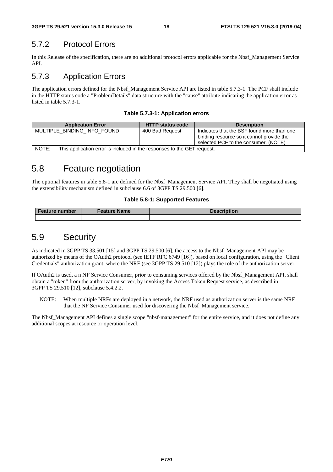### 5.7.2 Protocol Errors

In this Release of the specification, there are no additional protocol errors applicable for the Nbsf\_Management Service API.

### 5.7.3 Application Errors

The application errors defined for the Nbsf\_Management Service API are listed in table 5.7.3-1. The PCF shall include in the HTTP status code a "ProblemDetails" data structure with the "cause" attribute indicating the application error as listed in table 5.7.3-1.

|  |  | Table 5.7.3-1: Application errors |  |
|--|--|-----------------------------------|--|
|--|--|-----------------------------------|--|

| <b>Application Error</b>                                                         | <b>HTTP status code</b> | <b>Description</b>                                                                                                              |  |  |  |
|----------------------------------------------------------------------------------|-------------------------|---------------------------------------------------------------------------------------------------------------------------------|--|--|--|
| MULTIPLE BINDING INFO FOUND                                                      | 400 Bad Request         | Indicates that the BSF found more than one<br>binding resource so it cannot provide the<br>selected PCF to the consumer. (NOTE) |  |  |  |
| NOTE:<br>This application error is included in the responses to the GET request. |                         |                                                                                                                                 |  |  |  |

### 5.8 Feature negotiation

The optional features in table 5.8-1 are defined for the Nbsf\_Management Service API. They shall be negotiated using the extensibility mechanism defined in subclause 6.6 of 3GPP TS 29.500 [6].

#### **Table 5.8-1: Supported Features**

| <b>Feature number</b> | <b>Feature Name</b> | <b>Description</b> |  |
|-----------------------|---------------------|--------------------|--|
|                       |                     |                    |  |

### 5.9 Security

As indicated in 3GPP TS 33.501 [15] and 3GPP TS 29.500 [6], the access to the Nbsf\_Management API may be authorized by means of the OAuth2 protocol (see IETF RFC 6749 [16]), based on local configuration, using the "Client Credentials" authorization grant, where the NRF (see 3GPP TS 29.510 [12]) plays the role of the authorization server.

If OAuth2 is used, a n NF Service Consumer, prior to consuming services offered by the Nbsf\_Management API, shall obtain a "token" from the authorization server, by invoking the Access Token Request service, as described in 3GPP TS 29.510 [12], subclause 5.4.2.2.

NOTE: When multiple NRFs are deployed in a network, the NRF used as authorization server is the same NRF that the NF Service Consumer used for discovering the Nbsf\_Management service.

The Nbsf\_Management API defines a single scope "nbsf-management" for the entire service, and it does not define any additional scopes at resource or operation level.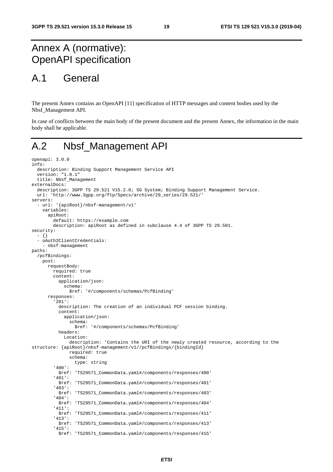# Annex A (normative): OpenAPI specification

# A.1 General

The present Annex contains an OpenAPI [11] specification of HTTP messages and content bodies used by the Nbsf\_Management API.

In case of conflicts between the main body of the present document and the present Annex, the information in the main body shall be applicable.

# A.2 Nbsf\_Management API

```
openapi: 3.0.0 
info: 
   description: Binding Support Management Service API 
   version: "1.0.1" 
   title: Nbsf_Management 
externalDocs: 
   description: 3GPP TS 29.521 V15.2.0; 5G System; Binding Support Management Service. 
   url: 'http://www.3gpp.org/ftp/Specs/archive/29_series/29.521/' 
servers: 
   - url: '{apiRoot}/nbsf-management/v1' 
     variables: 
       apiRoot: 
         default: https://example.com 
         description: apiRoot as defined in subclause 4.4 of 3GPP TS 29.501. 
security: 
   - {} 
   - oAuth2ClientCredentials: 
     - nbsf-management 
paths: 
   /pcfBindings: 
     post: 
       requestBody: 
         required: true 
         content: 
           application/json: 
              schema: 
                $ref: '#/components/schemas/PcfBinding' 
       responses: 
          '201': 
           description: The creation of an individual PCF session binding. 
           content: 
              application/json: 
                schema: 
                  $ref: '#/components/schemas/PcfBinding' 
           headers: 
              Location: 
                description: 'Contains the URI of the newly created resource, according to the 
structure: {apiRoot}/nbsf-management/v1//pcfBindings/{bindingId} 
                required: true 
                schema: 
                  type: string 
          '400': 
            $ref: 'TS29571_CommonData.yaml#/components/responses/400' 
          '401': 
           $ref: 'TS29571_CommonData.yaml#/components/responses/401' 
          '403': 
            $ref: 'TS29571_CommonData.yaml#/components/responses/403' 
          '404': 
           $ref: 'TS29571_CommonData.yaml#/components/responses/404' 
          '411': 
            $ref: 'TS29571_CommonData.yaml#/components/responses/411' 
          '413': 
           $ref: 'TS29571_CommonData.yaml#/components/responses/413' 
          '415': 
            $ref: 'TS29571_CommonData.yaml#/components/responses/415'
```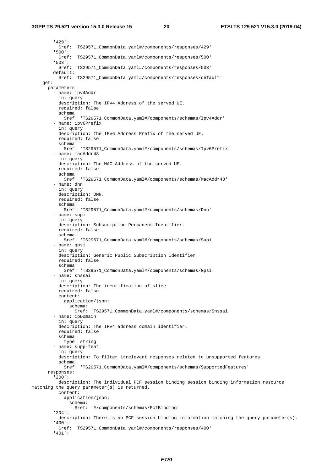#### **3GPP TS 29.521 version 15.3.0 Release 15 20 ETSI TS 129 521 V15.3.0 (2019-04)**

 '429': \$ref: 'TS29571\_CommonData.yaml#/components/responses/429' '500': \$ref: 'TS29571\_CommonData.yaml#/components/responses/500' '503': \$ref: 'TS29571\_CommonData.yaml#/components/responses/503' default: \$ref: 'TS29571\_CommonData.yaml#/components/responses/default' get: parameters: - name: ipv4Addr in: query description: The IPv4 Address of the served UE. required: false schema: \$ref: 'TS29571\_CommonData.yaml#/components/schemas/Ipv4Addr' - name: ipv6Prefix in: query description: The IPv6 Address Prefix of the served UE. required: false schema: \$ref: 'TS29571\_CommonData.yaml#/components/schemas/Ipv6Prefix' - name: macAddr48 in: query description: The MAC Address of the served UE. required: false schema: \$ref: 'TS29571\_CommonData.yaml#/components/schemas/MacAddr48' - name: dnn in: query description: DNN. required: false schema: \$ref: 'TS29571\_CommonData.yaml#/components/schemas/Dnn' - name: supi in: query description: Subscription Permanent Identifier. required: false schema: \$ref: 'TS29571\_CommonData.yaml#/components/schemas/Supi' - name: gpsi in: query description: Generic Public Subscription Identifier required: false schema: \$ref: 'TS29571\_CommonData.yaml#/components/schemas/Gpsi' - name: snssai in: query description: The identification of slice. required: false content: application/json: schema: \$ref: 'TS29571\_CommonData.yaml#/components/schemas/Snssai' - name: ipDomain in: query description: The IPv4 address domain identifier. required: false schema: type: string - name: supp-feat in: query description: To filter irrelevant responses related to unsupported features schema: \$ref: 'TS29571\_CommonData.yaml#/components/schemas/SupportedFeatures' responses: '200': description: The individual PCF session binding session binding information resource matching the query parameter(s) is returned. content: application/json: schema: \$ref: '#/components/schemas/PcfBinding' '204': description: There is no PCF session binding information matching the query parameter(s). '400': \$ref: 'TS29571\_CommonData.yaml#/components/responses/400' '401':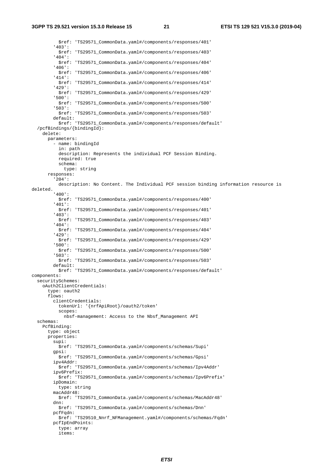\$ref: 'TS29571\_CommonData.yaml#/components/responses/401' '403': \$ref: 'TS29571\_CommonData.yaml#/components/responses/403' '404': \$ref: 'TS29571\_CommonData.yaml#/components/responses/404' '406': \$ref: 'TS29571\_CommonData.yaml#/components/responses/406' '414': \$ref: 'TS29571\_CommonData.yaml#/components/responses/414' '429': \$ref: 'TS29571\_CommonData.yaml#/components/responses/429' '500': \$ref: 'TS29571\_CommonData.yaml#/components/responses/500' '503': \$ref: 'TS29571\_CommonData.yaml#/components/responses/503' default: \$ref: 'TS29571\_CommonData.yaml#/components/responses/default' /pcfBindings/{bindingId}: delete: parameters: - name: bindingId in: path description: Represents the individual PCF Session Binding. required: true schema: type: string responses: '204': description: No Content. The Individual PCF session binding information resource is deleted. '400': \$ref: 'TS29571\_CommonData.yaml#/components/responses/400' '401': \$ref: 'TS29571\_CommonData.yaml#/components/responses/401' '403': \$ref: 'TS29571\_CommonData.yaml#/components/responses/403' '404': \$ref: 'TS29571\_CommonData.yaml#/components/responses/404' '429': \$ref: 'TS29571\_CommonData.yaml#/components/responses/429' '500': \$ref: 'TS29571\_CommonData.yaml#/components/responses/500' '503': \$ref: 'TS29571\_CommonData.yaml#/components/responses/503' default: \$ref: 'TS29571\_CommonData.yaml#/components/responses/default' components: securitySchemes: oAuth2ClientCredentials: type: oauth2 flows: clientCredentials: tokenUrl: '{nrfApiRoot}/oauth2/token' scopes: nbsf-management: Access to the Nbsf\_Management API schemas: PcfBinding: type: object properties: supi: \$ref: 'TS29571\_CommonData.yaml#/components/schemas/Supi' gpsi: \$ref: 'TS29571\_CommonData.yaml#/components/schemas/Gpsi' ipv4Addr: \$ref: 'TS29571\_CommonData.yaml#/components/schemas/Ipv4Addr' ipv6Prefix: \$ref: 'TS29571\_CommonData.yaml#/components/schemas/Ipv6Prefix' ipDomain: type: string macAddr48: \$ref: 'TS29571\_CommonData.yaml#/components/schemas/MacAddr48' dnn: \$ref: 'TS29571\_CommonData.yaml#/components/schemas/Dnn' pcfFqdn: \$ref: 'TS29510\_Nnrf\_NFManagement.yaml#/components/schemas/Fqdn' pcfIpEndPoints: type: array items: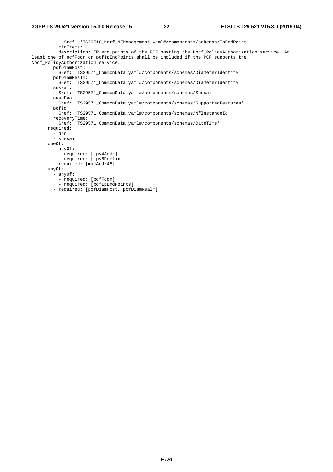\$ref: 'TS29510\_Nnrf\_NFManagement.yaml#/components/schemas/IpEndPoint' minItems: 1 description: IP end points of the PCF hosting the Npcf\_PolicyAuthorization service. At least one of pcfFqdn or pcfIpEndPoints shall be included if the PCF supports the Npcf\_PolicyAuthorization service. pcfDiamHost: \$ref: 'TS29571\_CommonData.yaml#/components/schemas/DiameterIdentity' pcfDiamRealm: \$ref: 'TS29571\_CommonData.yaml#/components/schemas/DiameterIdentity' snssai: \$ref: 'TS29571\_CommonData.yaml#/components/schemas/Snssai' suppFeat: \$ref: 'TS29571\_CommonData.yaml#/components/schemas/SupportedFeatures' pcfId: \$ref: 'TS29571\_CommonData.yaml#/components/schemas/NfInstanceId' recoveryTime: \$ref: 'TS29571\_CommonData.yaml#/components/schemas/DateTime' required: - dnn - snssai oneOf: - anyOf: - required: [ipv4Addr] - required: [ipv6Prefix] - required: [macAddr48] anyOf: - anyOf: - required: [pcfFqdn] - required: [pcfIpEndPoints] - required: [pcfDiamHost, pcfDiamRealm]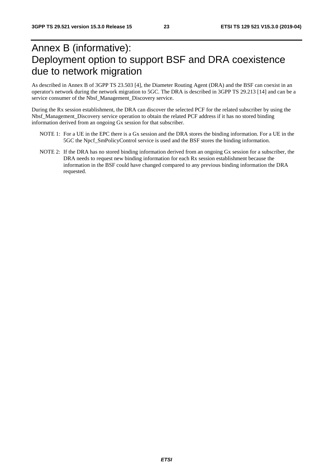# Annex B (informative): Deployment option to support BSF and DRA coexistence due to network migration

As described in Annex B of 3GPP TS 23.503 [4], the Diameter Routing Agent (DRA) and the BSF can coexist in an operator's network during the network migration to 5GC. The DRA is described in 3GPP TS 29.213 [14] and can be a service consumer of the Nbsf\_Management\_Discovery service.

During the Rx session establishment, the DRA can discover the selected PCF for the related subscriber by using the Nbsf\_Management\_Discovery service operation to obtain the related PCF address if it has no stored binding information derived from an ongoing Gx session for that subscriber.

- NOTE 1: For a UE in the EPC there is a Gx session and the DRA stores the binding information. For a UE in the 5GC the Npcf\_SmPolicyControl service is used and the BSF stores the binding information.
- NOTE 2: If the DRA has no stored binding information derived from an ongoing Gx session for a subscriber, the DRA needs to request new binding information for each Rx session establishment because the information in the BSF could have changed compared to any previous binding information the DRA requested.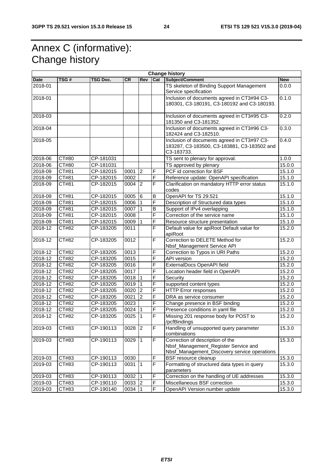# Annex C (informative): Change history

|             | <b>Change history</b> |                         |           |                |                         |                                                                      |            |  |  |
|-------------|-----------------------|-------------------------|-----------|----------------|-------------------------|----------------------------------------------------------------------|------------|--|--|
| Date        | TSG#                  | TSG Doc.                | <b>CR</b> | Rev            | Cat                     | Subject/Comment                                                      | <b>New</b> |  |  |
| 2018-01     |                       |                         |           |                |                         | TS skeleton of Binding Support Management                            | 0.0.0      |  |  |
|             |                       |                         |           |                |                         | Service specification                                                |            |  |  |
| 2018-01     |                       |                         |           |                |                         | Inclusion of documents agreed in CT3#94 C3-                          | 0.1.0      |  |  |
|             |                       |                         |           |                |                         | 180301, C3-180191, C3-180192 and C3-180193.                          |            |  |  |
| 2018-03     |                       |                         |           |                |                         | Inclusion of documents agreed in CT3#95 C3-                          | 0.2.0      |  |  |
|             |                       |                         |           |                |                         | 181350 and C3-181352.                                                |            |  |  |
| 2018-04     |                       |                         |           |                |                         | Inclusion of documents agreed in CT3#96 C3-<br>182424 and C3-182510. | 0.3.0      |  |  |
| 2018-05     |                       |                         |           |                |                         | Inclusion of documents agreed in CT3#97 C3-                          | 0.4.0      |  |  |
|             |                       |                         |           |                |                         | 183287, C3-183500, C3-183881, C3-183502 and<br>C3-183733.            |            |  |  |
| 2018-06     | CT#80                 | CP-181031               |           |                |                         | TS sent to plenary for approval.                                     | 1.0.0      |  |  |
| 2018-06     | CT#80                 | CP-181031               |           |                |                         | TS approved by plenary                                               | 15.0.0     |  |  |
| 2018-09     | CT#81                 | CP-182015               | 0001      | $\overline{2}$ | F                       | PCF id correction for BSF                                            | 15.1.0     |  |  |
| 2018-09     | CT#81                 | CP-182015               | 0002      |                | F                       | Reference update: OpenAPI specification                              | 15.1.0     |  |  |
| 2018-09     | CT#81                 | CP-182015               | 0004      | $\overline{2}$ | F                       | Clarification on mandatory HTTP error status<br>codes                | 15.1.0     |  |  |
| 2018-09     | CT#81                 | CP-182015               | 0005      | 6              | B                       | OpenAPI for TS 29.521                                                | 15.1.0     |  |  |
| 2018-09     | CT#81                 | CP-182015               | 0006      |                | F                       | Description of Structured data types                                 | 15.1.0     |  |  |
| 2018-09     | CT#81                 | CP-182015               | 0007      |                | B                       | Support of IPv4 overlapping                                          | 15.1.0     |  |  |
| 2018-09     | CT#81                 | CP-182015               | 0008      |                | F                       | Correction of the service name                                       | 15.1.0     |  |  |
| 2018-09     | CT#81                 | $\overline{CP}$ -182015 | 0009      | ∣1             | F                       | Resource structure presentation                                      | 15.1.0     |  |  |
| $2018 - 12$ | CT#82                 | CP-183205               | 0011      |                | F                       | Default value for apiRoot Default value for<br>apiRoot               | 15.2.0     |  |  |
| 2018-12     | CT#82                 | CP-183205               | 0012      |                | $\overline{F}$          | Correction to DELETE Method for                                      | 15.2.0     |  |  |
| 2018-12     | CT#82                 | CP-183205               | 0013      |                | F                       | Nbsf_Management Service API<br>Correction to Typos in URI Paths      | 15.2.0     |  |  |
| 2018-12     | CT#82                 | CP-183205               | 0015      |                | F                       | <b>API</b> version                                                   | 15.2.0     |  |  |
| 2018-12     | CT#82                 | CP-183205               | 0016      |                | F                       | ExternalDocs OpenAPI field                                           | 15.2.0     |  |  |
| 2018-12     | CT#82                 | CP-183205               | 0017      |                | F                       | Location header field in OpenAPI                                     | 15.2.0     |  |  |
| 2018-12     | CT#82                 | CP-183205               | 0018      |                | F                       | Security                                                             | 15.2.0     |  |  |
| 2018-12     | CT#82                 | CP-183205               | 0019      |                | F                       | supported content types                                              | 15.2.0     |  |  |
| 2018-12     | CT#82                 | CP-183205               | 0020      | $\overline{2}$ | F                       | <b>HTTP Error responses</b>                                          | 15.2.0     |  |  |
| 2018-12     | CT#82                 | CP-183205               | 0021      | $\overline{2}$ | $\overline{\mathsf{F}}$ | DRA as service consumer                                              | 15.2.0     |  |  |
| 2018-12     | CT#82                 | CP-183205               | 0023      |                | $\overline{F}$          | Change presence in BSF binding                                       | 15.2.0     |  |  |
| 2018-12     | CT#82                 | CP-183205               | 0024      | ∣1             | F                       | Presence conditions in yaml file                                     | 15.2.0     |  |  |
| 2018-12     | CT#82                 | CP-183205               | 0025      | ∣1             | $\overline{F}$          | Missing 201 response body for POST to<br>/pcfBindings                | 15.2.0     |  |  |
| 2019-03     | CT#83                 | CP-190113               | $0028$ 2  |                | F                       | Handling of unsupported query parameter<br>combinations              | 15.3.0     |  |  |
| 2019-03     | CT#83                 | CP-190113               | 0029      | $\vert$ 1      | $\overline{F}$          | Correction of description of the                                     | 15.3.0     |  |  |
|             |                       |                         |           |                |                         | Nbsf_Management_Register Service and                                 |            |  |  |
|             |                       |                         |           |                |                         | Nbsf_Management_Discovery service operations                         |            |  |  |
| 2019-03     | CT#83                 | CP-190113               | 0030      |                | $\mathsf F$             | <b>BSF</b> resource cleanup                                          | 15.3.0     |  |  |
| 2019-03     | CT#83                 | CP-190113               | 0031      | ∣1             | F                       | Formatting of structured data types in query                         | 15.3.0     |  |  |
|             |                       |                         |           |                |                         | parameters                                                           |            |  |  |
| 2019-03     | CT#83                 | CP-190113               | 0032      | $\overline{1}$ | $\overline{F}$          | Correction on the handling of UE addresses                           | 15.3.0     |  |  |
| 2019-03     | CT#83                 | CP-190110               | 0033      | 2              | $\mathsf F$             | Miscellaneous BSF correction                                         | 15.3.0     |  |  |
| 2019-03     | CT#83                 | CP-190140               | 0034      | 11             | $\overline{F}$          | OpenAPI Version number update                                        | 15.3.0     |  |  |